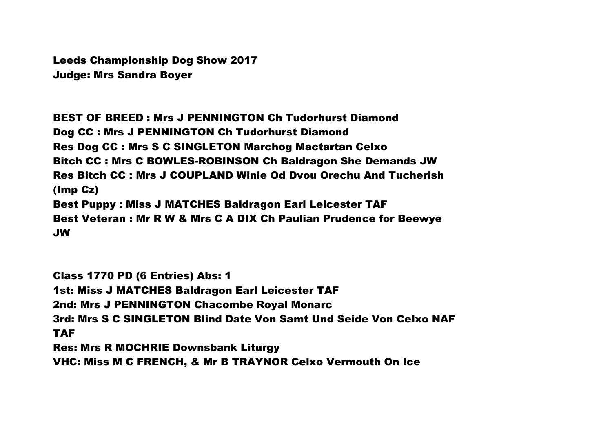Leeds Championship Dog Show 2017 Judge: Mrs Sandra Boyer

BEST OF BREED : Mrs J PENNINGTON Ch Tudorhurst Diamond Dog CC : Mrs J PENNINGTON Ch Tudorhurst Diamond Res Dog CC : Mrs S C SINGLETON Marchog Mactartan Celxo Bitch CC : Mrs C BOWLES-ROBINSON Ch Baldragon She Demands JW Res Bitch CC : Mrs J COUPLAND Winie Od Dvou Orechu And Tucherish (Imp Cz) Best Puppy : Miss J MATCHES Baldragon Earl Leicester TAF Best Veteran : Mr R W & Mrs C A DIX Ch Paulian Prudence for Beewye JW

Class 1770 PD (6 Entries) Abs: 1 1st: Miss J MATCHES Baldragon Earl Leicester TAF 2nd: Mrs J PENNINGTON Chacombe Royal Monarc 3rd: Mrs S C SINGLETON Blind Date Von Samt Und Seide Von Celxo NAF TAF Res: Mrs R MOCHRIE Downsbank Liturgy

VHC: Miss M C FRENCH, & Mr B TRAYNOR Celxo Vermouth On Ice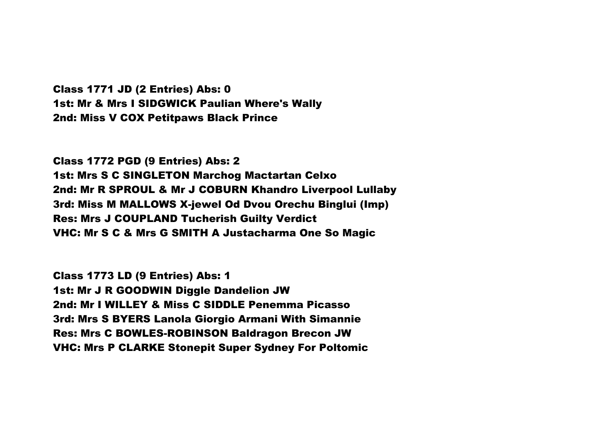Class 1771 JD (2 Entries) Abs: 0 1st: Mr & Mrs I SIDGWICK Paulian Where's Wally 2nd: Miss V COX Petitpaws Black Prince

Class 1772 PGD (9 Entries) Abs: 2 1st: Mrs S C SINGLETON Marchog Mactartan Celxo 2nd: Mr R SPROUL & Mr J COBURN Khandro Liverpool Lullaby 3rd: Miss M MALLOWS X-jewel Od Dvou Orechu Binglui (Imp) Res: Mrs J COUPLAND Tucherish Guilty Verdict VHC: Mr S C & Mrs G SMITH A Justacharma One So Magic

Class 1773 LD (9 Entries) Abs: 1 1st: Mr J R GOODWIN Diggle Dandelion JW 2nd: Mr I WILLEY & Miss C SIDDLE Penemma Picasso 3rd: Mrs S BYERS Lanola Giorgio Armani With Simannie Res: Mrs C BOWLES-ROBINSON Baldragon Brecon JW VHC: Mrs P CLARKE Stonepit Super Sydney For Poltomic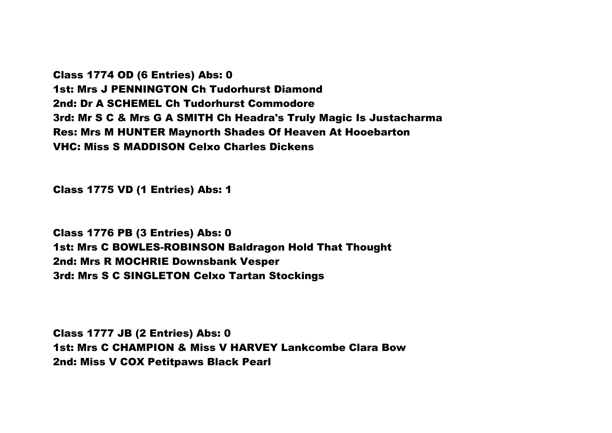Class 1774 OD (6 Entries) Abs: 0 1st: Mrs J PENNINGTON Ch Tudorhurst Diamond 2nd: Dr A SCHEMEL Ch Tudorhurst Commodore 3rd: Mr S C & Mrs G A SMITH Ch Headra's Truly Magic Is Justacharma Res: Mrs M HUNTER Maynorth Shades Of Heaven At Hooebarton VHC: Miss S MADDISON Celxo Charles Dickens

Class 1775 VD (1 Entries) Abs: 1

Class 1776 PB (3 Entries) Abs: 0 1st: Mrs C BOWLES-ROBINSON Baldragon Hold That Thought 2nd: Mrs R MOCHRIE Downsbank Vesper 3rd: Mrs S C SINGLETON Celxo Tartan Stockings

Class 1777 JB (2 Entries) Abs: 0 1st: Mrs C CHAMPION & Miss V HARVEY Lankcombe Clara Bow 2nd: Miss V COX Petitpaws Black Pearl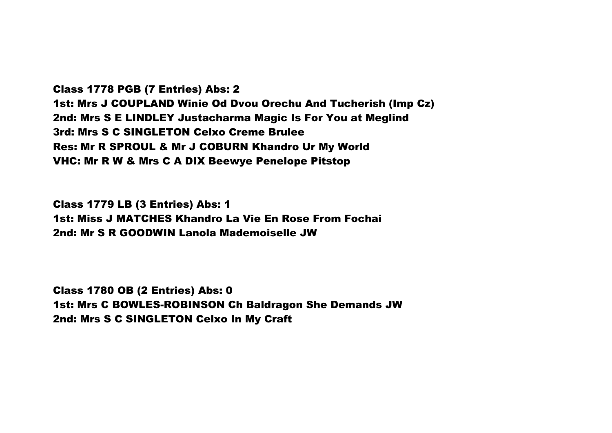Class 1778 PGB (7 Entries) Abs: 2 1st: Mrs J COUPLAND Winie Od Dvou Orechu And Tucherish (Imp Cz) 2nd: Mrs S E LINDLEY Justacharma Magic Is For You at Meglind 3rd: Mrs S C SINGLETON Celxo Creme Brulee Res: Mr R SPROUL & Mr J COBURN Khandro Ur My World VHC: Mr R W & Mrs C A DIX Beewye Penelope Pitstop

Class 1779 LB (3 Entries) Abs: 1 1st: Miss J MATCHES Khandro La Vie En Rose From Fochai 2nd: Mr S R GOODWIN Lanola Mademoiselle JW

Class 1780 OB (2 Entries) Abs: 0 1st: Mrs C BOWLES-ROBINSON Ch Baldragon She Demands JW 2nd: Mrs S C SINGLETON Celxo In My Craft